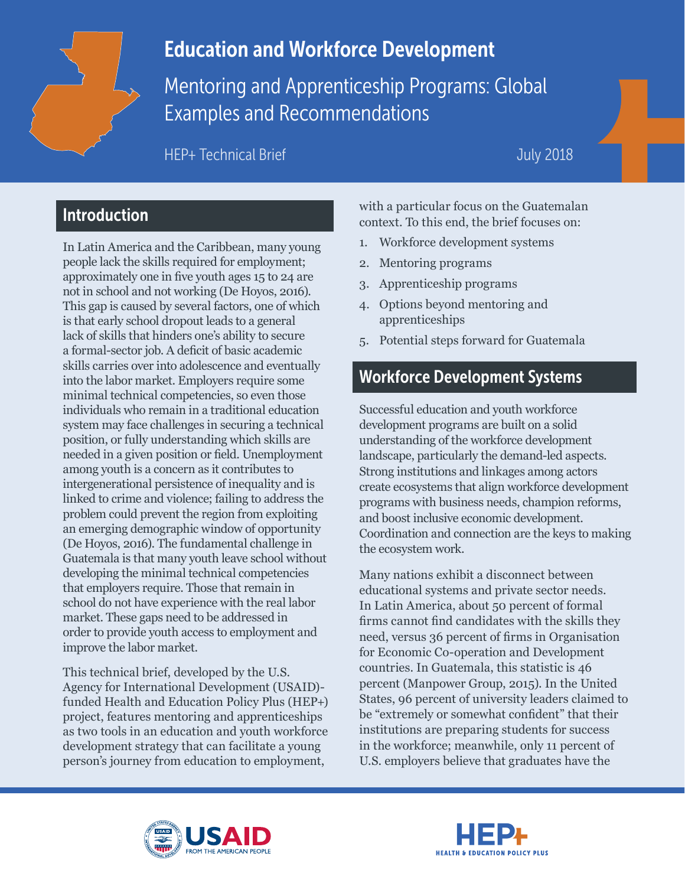

# Education and Workforce Development

Mentoring and Apprenticeship Programs: Global Examples and Recommendations

HEP+ Technical Brief

### July 2018

## Introduction

In Latin America and the Caribbean, many young people lack the skills required for employment; approximately one in five youth ages 15 to 24 are not in school and not working (De Hoyos, 2016). This gap is caused by several factors, one of which is that early school dropout leads to a general lack of skills that hinders one's ability to secure a formal-sector job. A deficit of basic academic skills carries over into adolescence and eventually into the labor market. Employers require some minimal technical competencies, so even those individuals who remain in a traditional education system may face challenges in securing a technical position, or fully understanding which skills are needed in a given position or field. Unemployment among youth is a concern as it contributes to intergenerational persistence of inequality and is linked to crime and violence; failing to address the problem could prevent the region from exploiting an emerging demographic window of opportunity (De Hoyos, 2016). The fundamental challenge in Guatemala is that many youth leave school without developing the minimal technical competencies that employers require. Those that remain in school do not have experience with the real labor market. These gaps need to be addressed in order to provide youth access to employment and improve the labor market.

This technical brief, developed by the U.S. Agency for International Development (USAID) funded Health and Education Policy Plus (HEP+) project, features mentoring and apprenticeships as two tools in an education and youth workforce development strategy that can facilitate a young person's journey from education to employment,

with a particular focus on the Guatemalan context. To this end, the brief focuses on:

- 1. Workforce development systems
- 2. Mentoring programs
- 3. Apprenticeship programs
- 4. Options beyond mentoring and apprenticeships
- 5. Potential steps forward for Guatemala

### Workforce Development Systems

Successful education and youth workforce development programs are built on a solid understanding of the workforce development landscape, particularly the demand-led aspects. Strong institutions and linkages among actors create ecosystems that align workforce development programs with business needs, champion reforms, and boost inclusive economic development. Coordination and connection are the keys to making the ecosystem work.

Many nations exhibit a disconnect between educational systems and private sector needs. In Latin America, about 50 percent of formal firms cannot find candidates with the skills they need, versus 36 percent of firms in Organisation for Economic Co-operation and Development countries. In Guatemala, this statistic is 46 percent (Manpower Group, 2015). In the United States, 96 percent of university leaders claimed to be "extremely or somewhat confident" that their institutions are preparing students for success in the workforce; meanwhile, only 11 percent of U.S. employers believe that graduates have the



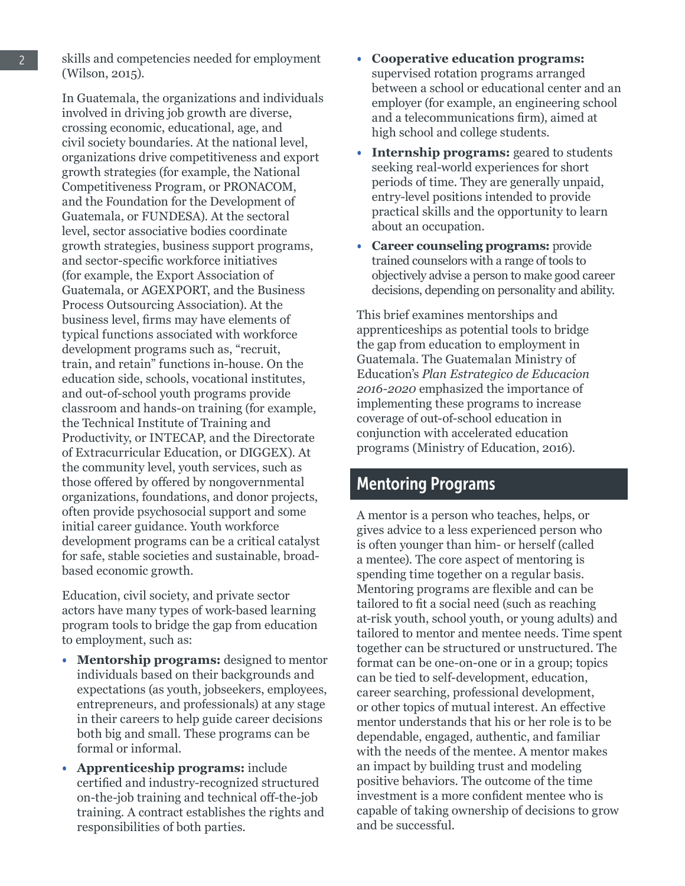skills and competencies needed for employment (Wilson, 2015).

In Guatemala, the organizations and individuals involved in driving job growth are diverse, crossing economic, educational, age, and civil society boundaries. At the national level, organizations drive competitiveness and export growth strategies (for example, the National Competitiveness Program, or PRONACOM, and the Foundation for the Development of Guatemala, or FUNDESA). At the sectoral level, sector associative bodies coordinate growth strategies, business support programs, and sector-specific workforce initiatives (for example, the Export Association of Guatemala, or AGEXPORT, and the Business Process Outsourcing Association). At the business level, firms may have elements of typical functions associated with workforce development programs such as, "recruit, train, and retain" functions in-house. On the education side, schools, vocational institutes, and out-of-school youth programs provide classroom and hands-on training (for example, the Technical Institute of Training and Productivity, or INTECAP, and the Directorate of Extracurricular Education, or DIGGEX). At the community level, youth services, such as those offered by offered by nongovernmental organizations, foundations, and donor projects, often provide psychosocial support and some initial career guidance. Youth workforce development programs can be a critical catalyst for safe, stable societies and sustainable, broadbased economic growth.

Education, civil society, and private sector actors have many types of work-based learning program tools to bridge the gap from education to employment, such as:

- **Mentorship programs:** designed to mentor individuals based on their backgrounds and expectations (as youth, jobseekers, employees, entrepreneurs, and professionals) at any stage in their careers to help guide career decisions both big and small. These programs can be formal or informal.
- **Apprenticeship programs:** include certified and industry-recognized structured on-the-job training and technical off-the-job training. A contract establishes the rights and responsibilities of both parties.
- **Cooperative education programs:**  supervised rotation programs arranged between a school or educational center and an employer (for example, an engineering school and a telecommunications firm), aimed at high school and college students.
- **Internship programs:** geared to students seeking real-world experiences for short periods of time. They are generally unpaid, entry-level positions intended to provide practical skills and the opportunity to learn about an occupation.
- **Career counseling programs:** provide trained counselors with a range of tools to objectively advise a person to make good career decisions, depending on personality and ability.

This brief examines mentorships and apprenticeships as potential tools to bridge the gap from education to employment in Guatemala. The Guatemalan Ministry of Education's *Plan Estrategico de Educacion 2016-2020* emphasized the importance of implementing these programs to increase coverage of out-of-school education in conjunction with accelerated education programs (Ministry of Education, 2016).

### Mentoring Programs

A mentor is a person who teaches, helps, or gives advice to a less experienced person who is often younger than him- or herself (called a mentee). The core aspect of mentoring is spending time together on a regular basis. Mentoring programs are flexible and can be tailored to fit a social need (such as reaching at-risk youth, school youth, or young adults) and tailored to mentor and mentee needs. Time spent together can be structured or unstructured. The format can be one-on-one or in a group; topics can be tied to self-development, education, career searching, professional development, or other topics of mutual interest. An effective mentor understands that his or her role is to be dependable, engaged, authentic, and familiar with the needs of the mentee. A mentor makes an impact by building trust and modeling positive behaviors. The outcome of the time investment is a more confident mentee who is capable of taking ownership of decisions to grow and be successful.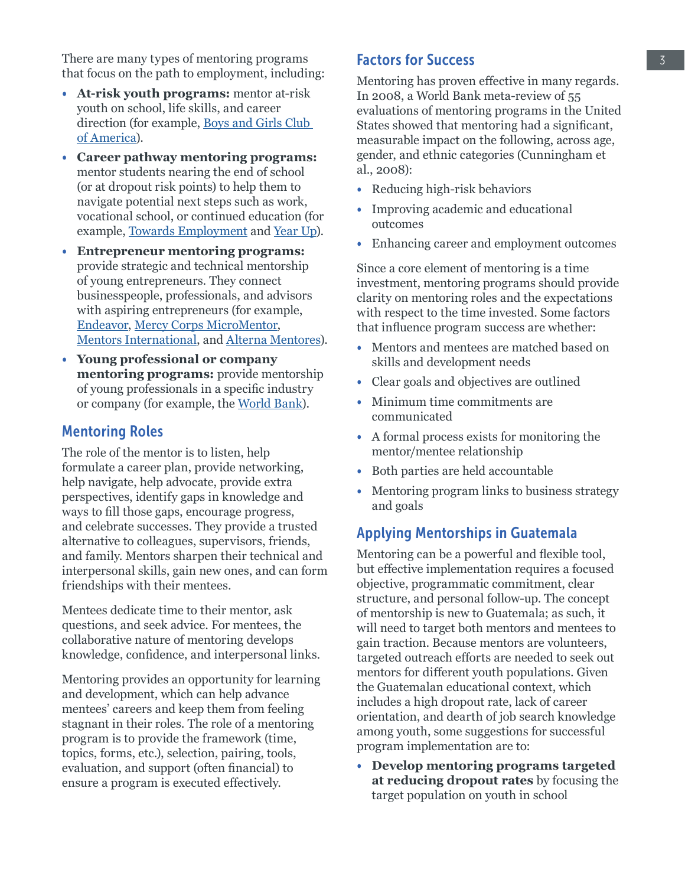There are many types of mentoring programs that focus on the path to employment, including:

- **At-risk youth programs:** mentor at-risk youth on school, life skills, and career direction (for example, [Boys and Girls Club](https://www.bgca.org/)  [of America](https://www.bgca.org/)).
- **Career pathway mentoring programs:**  mentor students nearing the end of school (or at dropout risk points) to help them to navigate potential next steps such as work, vocational school, or continued education (for example, [Towards Employment](http://towardsemployment.org/) and [Year Up\)](https://www.yearup.org/our-approach/how-it-works/?location=national-us/).
- **Entrepreneur mentoring programs:** provide strategic and technical mentorship of young entrepreneurs. They connect businesspeople, professionals, and advisors with aspiring entrepreneurs (for example, [Endeavor](https://endeavor.org/), [Mercy Corps MicroMentor,](https://www.micromentor.org/#how-it-works) [Mentors International,](https://mentorsinternational.org/) and [Alterna Mentores](http://alternaimpact.org/es/become-a-mentor/)).
- **Young professional or company mentoring programs:** provide mentorship of young professionals in a specific industry or company (for example, the [World Bank\)](http://www.worldbank.org/en/about/careers/programs-and-internships/young-professionals-program).

#### Mentoring Roles

The role of the mentor is to listen, help formulate a career plan, provide networking, help navigate, help advocate, provide extra perspectives, identify gaps in knowledge and ways to fill those gaps, encourage progress, and celebrate successes. They provide a trusted alternative to colleagues, supervisors, friends, and family. Mentors sharpen their technical and interpersonal skills, gain new ones, and can form friendships with their mentees.

Mentees dedicate time to their mentor, ask questions, and seek advice. For mentees, the collaborative nature of mentoring develops knowledge, confidence, and interpersonal links.

Mentoring provides an opportunity for learning and development, which can help advance mentees' careers and keep them from feeling stagnant in their roles. The role of a mentoring program is to provide the framework (time, topics, forms, etc.), selection, pairing, tools, evaluation, and support (often financial) to ensure a program is executed effectively.

### Factors for Success

Mentoring has proven effective in many regards. In 2008, a World Bank meta-review of 55 evaluations of mentoring programs in the United States showed that mentoring had a significant, measurable impact on the following, across age, gender, and ethnic categories (Cunningham et al., 2008):

- Reducing high-risk behaviors
- Improving academic and educational outcomes
- Enhancing career and employment outcomes

Since a core element of mentoring is a time investment, mentoring programs should provide clarity on mentoring roles and the expectations with respect to the time invested. Some factors that influence program success are whether:

- Mentors and mentees are matched based on skills and development needs
- Clear goals and objectives are outlined
- Minimum time commitments are communicated
- A formal process exists for monitoring the mentor/mentee relationship
- Both parties are held accountable
- Mentoring program links to business strategy and goals

### Applying Mentorships in Guatemala

Mentoring can be a powerful and flexible tool, but effective implementation requires a focused objective, programmatic commitment, clear structure, and personal follow-up. The concept of mentorship is new to Guatemala; as such, it will need to target both mentors and mentees to gain traction. Because mentors are volunteers, targeted outreach efforts are needed to seek out mentors for different youth populations. Given the Guatemalan educational context, which includes a high dropout rate, lack of career orientation, and dearth of job search knowledge among youth, some suggestions for successful program implementation are to:

• **Develop mentoring programs targeted at reducing dropout rates** by focusing the target population on youth in school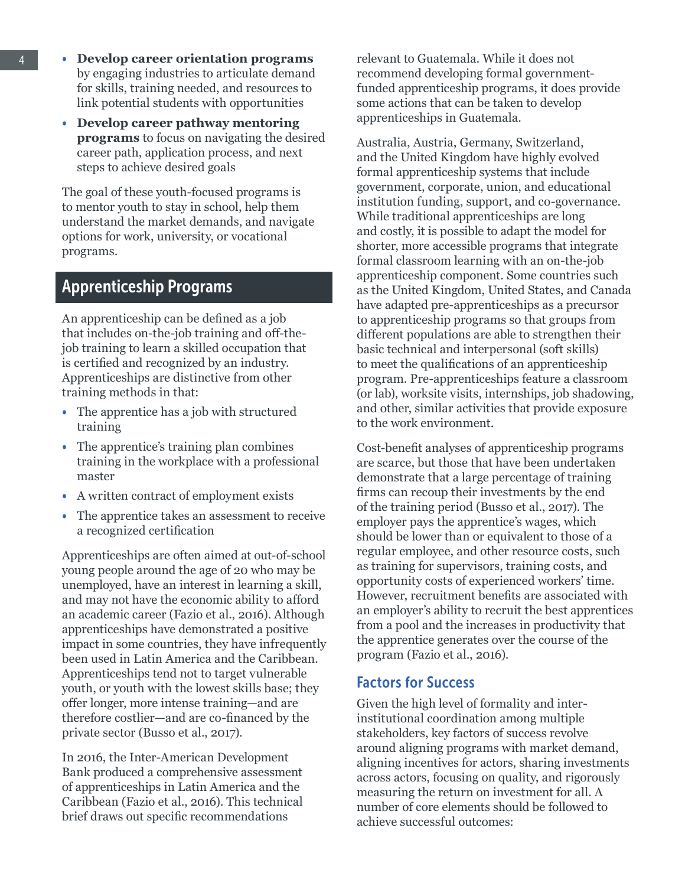- **Develop career orientation programs** by engaging industries to articulate demand for skills, training needed, and resources to link potential students with opportunities
- **Develop career pathway mentoring programs** to focus on navigating the desired career path, application process, and next steps to achieve desired goals

The goal of these youth-focused programs is to mentor youth to stay in school, help them understand the market demands, and navigate options for work, university, or vocational programs.

### Apprenticeship Programs

An apprenticeship can be defined as a job that includes on-the-job training and off-thejob training to learn a skilled occupation that is certified and recognized by an industry. Apprenticeships are distinctive from other training methods in that:

- The apprentice has a job with structured training
- The apprentice's training plan combines training in the workplace with a professional master
- A written contract of employment exists
- The apprentice takes an assessment to receive a recognized certification

Apprenticeships are often aimed at out-of-school young people around the age of 20 who may be unemployed, have an interest in learning a skill, and may not have the economic ability to afford an academic career (Fazio et al., 2016). Although apprenticeships have demonstrated a positive impact in some countries, they have infrequently been used in Latin America and the Caribbean. Apprenticeships tend not to target vulnerable youth, or youth with the lowest skills base; they offer longer, more intense training—and are therefore costlier—and are co-financed by the private sector (Busso et al., 2017).

In 2016, the Inter-American Development Bank produced a comprehensive assessment of apprenticeships in Latin America and the Caribbean (Fazio et al., 2016). This technical brief draws out specific recommendations

relevant to Guatemala. While it does not recommend developing formal governmentfunded apprenticeship programs, it does provide some actions that can be taken to develop apprenticeships in Guatemala.

Australia, Austria, Germany, Switzerland, and the United Kingdom have highly evolved formal apprenticeship systems that include government, corporate, union, and educational institution funding, support, and co-governance. While traditional apprenticeships are long and costly, it is possible to adapt the model for shorter, more accessible programs that integrate formal classroom learning with an on-the-job apprenticeship component. Some countries such as the United Kingdom, United States, and Canada have adapted pre-apprenticeships as a precursor to apprenticeship programs so that groups from different populations are able to strengthen their basic technical and interpersonal (soft skills) to meet the qualifications of an apprenticeship program. Pre-apprenticeships feature a classroom (or lab), worksite visits, internships, job shadowing, and other, similar activities that provide exposure to the work environment.

Cost-benefit analyses of apprenticeship programs are scarce, but those that have been undertaken demonstrate that a large percentage of training firms can recoup their investments by the end of the training period (Busso et al., 2017). The employer pays the apprentice's wages, which should be lower than or equivalent to those of a regular employee, and other resource costs, such as training for supervisors, training costs, and opportunity costs of experienced workers' time. However, recruitment benefits are associated with an employer's ability to recruit the best apprentices from a pool and the increases in productivity that the apprentice generates over the course of the program (Fazio et al., 2016).

#### Factors for Success

Given the high level of formality and interinstitutional coordination among multiple stakeholders, key factors of success revolve around aligning programs with market demand, aligning incentives for actors, sharing investments across actors, focusing on quality, and rigorously measuring the return on investment for all. A number of core elements should be followed to achieve successful outcomes: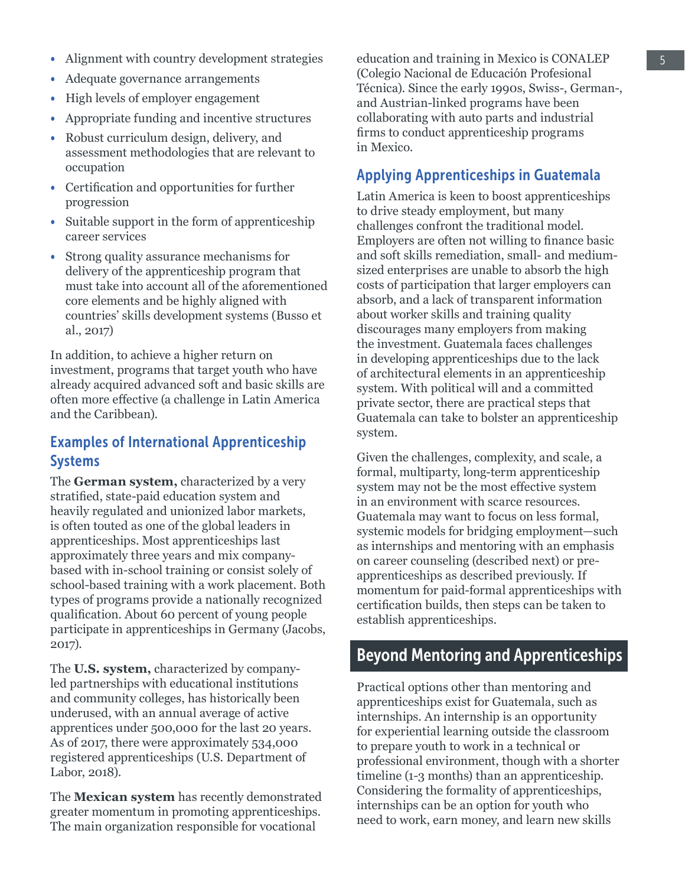- Adequate governance arrangements
- High levels of employer engagement
- Appropriate funding and incentive structures
- Robust curriculum design, delivery, and assessment methodologies that are relevant to occupation
- Certification and opportunities for further progression
- Suitable support in the form of apprenticeship career services
- Strong quality assurance mechanisms for delivery of the apprenticeship program that must take into account all of the aforementioned core elements and be highly aligned with countries' skills development systems (Busso et al., 2017)

In addition, to achieve a higher return on investment, programs that target youth who have already acquired advanced soft and basic skills are often more effective (a challenge in Latin America and the Caribbean).

#### Examples of International Apprenticeship Systems

The **German system,** characterized by a very stratified, state-paid education system and heavily regulated and unionized labor markets, is often touted as one of the global leaders in apprenticeships. Most apprenticeships last approximately three years and mix companybased with in-school training or consist solely of school-based training with a work placement. Both types of programs provide a nationally recognized qualification. About 60 percent of young people participate in apprenticeships in Germany (Jacobs, 2017).

The **U.S. system,** characterized by companyled partnerships with educational institutions and community colleges, has historically been underused, with an annual average of active apprentices under 500,000 for the last 20 years. As of 2017, there were approximately 534,000 registered apprenticeships (U.S. Department of Labor, 2018).

The **Mexican system** has recently demonstrated greater momentum in promoting apprenticeships. The main organization responsible for vocational

education and training in Mexico is CONALEP (Colegio Nacional de Educación Profesional Técnica). Since the early 1990s, Swiss-, German-, and Austrian-linked programs have been collaborating with auto parts and industrial firms to conduct apprenticeship programs in Mexico.

#### Applying Apprenticeships in Guatemala

Latin America is keen to boost apprenticeships to drive steady employment, but many challenges confront the traditional model. Employers are often not willing to finance basic and soft skills remediation, small- and mediumsized enterprises are unable to absorb the high costs of participation that larger employers can absorb, and a lack of transparent information about worker skills and training quality discourages many employers from making the investment. Guatemala faces challenges in developing apprenticeships due to the lack of architectural elements in an apprenticeship system. With political will and a committed private sector, there are practical steps that Guatemala can take to bolster an apprenticeship system.

Given the challenges, complexity, and scale, a formal, multiparty, long-term apprenticeship system may not be the most effective system in an environment with scarce resources. Guatemala may want to focus on less formal, systemic models for bridging employment—such as internships and mentoring with an emphasis on career counseling (described next) or preapprenticeships as described previously. If momentum for paid-formal apprenticeships with certification builds, then steps can be taken to establish apprenticeships.

### Beyond Mentoring and Apprenticeships

Practical options other than mentoring and apprenticeships exist for Guatemala, such as internships. An internship is an opportunity for experiential learning outside the classroom to prepare youth to work in a technical or professional environment, though with a shorter timeline (1-3 months) than an apprenticeship. Considering the formality of apprenticeships, internships can be an option for youth who need to work, earn money, and learn new skills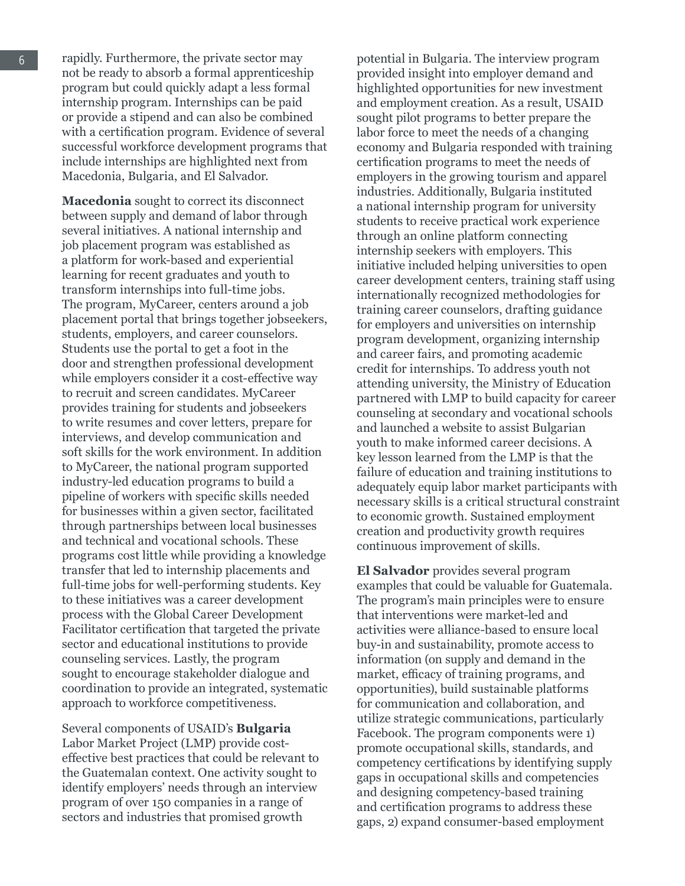rapidly. Furthermore, the private sector may not be ready to absorb a formal apprenticeship program but could quickly adapt a less formal internship program. Internships can be paid or provide a stipend and can also be combined with a certification program. Evidence of several successful workforce development programs that include internships are highlighted next from Macedonia, Bulgaria, and El Salvador.

**Macedonia** sought to correct its disconnect between supply and demand of labor through several initiatives. A national internship and job placement program was established as a platform for work-based and experiential learning for recent graduates and youth to transform internships into full-time jobs. The program, MyCareer, centers around a job placement portal that brings together jobseekers, students, employers, and career counselors. Students use the portal to get a foot in the door and strengthen professional development while employers consider it a cost-effective way to recruit and screen candidates. MyCareer provides training for students and jobseekers to write resumes and cover letters, prepare for interviews, and develop communication and soft skills for the work environment. In addition to MyCareer, the national program supported industry-led education programs to build a pipeline of workers with specific skills needed for businesses within a given sector, facilitated through partnerships between local businesses and technical and vocational schools. These programs cost little while providing a knowledge transfer that led to internship placements and full-time jobs for well-performing students. Key to these initiatives was a career development process with the Global Career Development Facilitator certification that targeted the private sector and educational institutions to provide counseling services. Lastly, the program sought to encourage stakeholder dialogue and coordination to provide an integrated, systematic approach to workforce competitiveness.

Several components of USAID's **Bulgaria** Labor Market Project (LMP) provide costeffective best practices that could be relevant to the Guatemalan context. One activity sought to identify employers' needs through an interview program of over 150 companies in a range of sectors and industries that promised growth

potential in Bulgaria. The interview program provided insight into employer demand and highlighted opportunities for new investment and employment creation. As a result, USAID sought pilot programs to better prepare the labor force to meet the needs of a changing economy and Bulgaria responded with training certification programs to meet the needs of employers in the growing tourism and apparel industries. Additionally, Bulgaria instituted a national internship program for university students to receive practical work experience through an online platform connecting internship seekers with employers. This initiative included helping universities to open career development centers, training staff using internationally recognized methodologies for training career counselors, drafting guidance for employers and universities on internship program development, organizing internship and career fairs, and promoting academic credit for internships. To address youth not attending university, the Ministry of Education partnered with LMP to build capacity for career counseling at secondary and vocational schools and launched a website to assist Bulgarian youth to make informed career decisions. A key lesson learned from the LMP is that the failure of education and training institutions to adequately equip labor market participants with necessary skills is a critical structural constraint to economic growth. Sustained employment creation and productivity growth requires continuous improvement of skills.

**El Salvador** provides several program examples that could be valuable for Guatemala. The program's main principles were to ensure that interventions were market-led and activities were alliance-based to ensure local buy-in and sustainability, promote access to information (on supply and demand in the market, efficacy of training programs, and opportunities), build sustainable platforms for communication and collaboration, and utilize strategic communications, particularly Facebook. The program components were 1) promote occupational skills, standards, and competency certifications by identifying supply gaps in occupational skills and competencies and designing competency-based training and certification programs to address these gaps, 2) expand consumer-based employment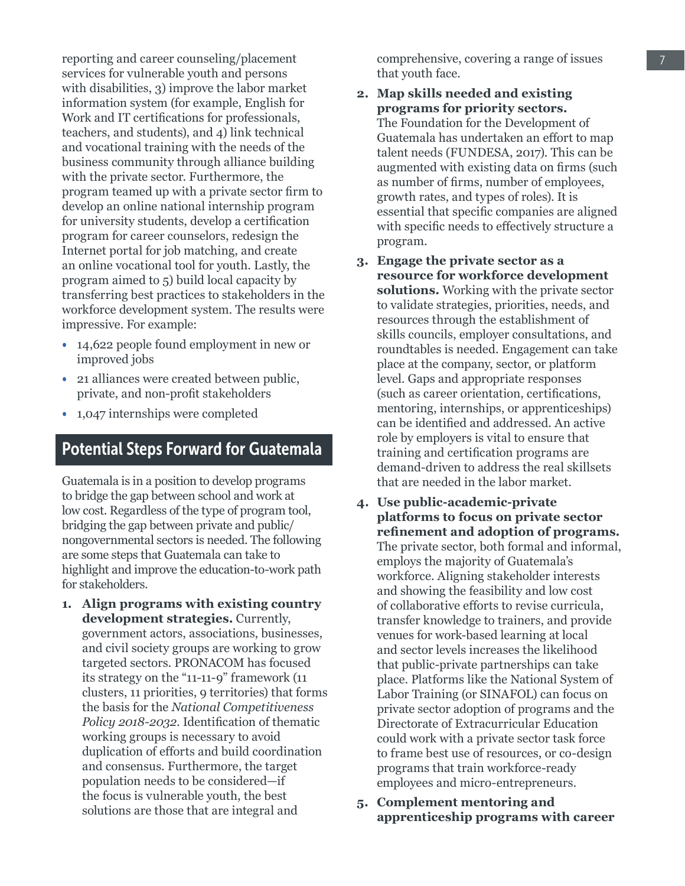reporting and career counseling/placement services for vulnerable youth and persons with disabilities, 3) improve the labor market information system (for example, English for Work and IT certifications for professionals, teachers, and students), and 4) link technical and vocational training with the needs of the business community through alliance building with the private sector. Furthermore, the program teamed up with a private sector firm to develop an online national internship program for university students, develop a certification program for career counselors, redesign the Internet portal for job matching, and create an online vocational tool for youth. Lastly, the program aimed to 5) build local capacity by transferring best practices to stakeholders in the workforce development system. The results were impressive. For example:

- 14,622 people found employment in new or improved jobs
- 21 alliances were created between public, private, and non-profit stakeholders
- 1,047 internships were completed

### Potential Steps Forward for Guatemala

Guatemala is in a position to develop programs to bridge the gap between school and work at low cost. Regardless of the type of program tool, bridging the gap between private and public/ nongovernmental sectors is needed. The following are some steps that Guatemala can take to highlight and improve the education-to-work path for stakeholders.

**1. Align programs with existing country development strategies.** Currently, government actors, associations, businesses, and civil society groups are working to grow targeted sectors. PRONACOM has focused its strategy on the "11-11-9" framework (11 clusters, 11 priorities, 9 territories) that forms the basis for the *National Competitiveness Policy 2018-2032*. Identification of thematic working groups is necessary to avoid duplication of efforts and build coordination and consensus. Furthermore, the target population needs to be considered—if the focus is vulnerable youth, the best solutions are those that are integral and

comprehensive, covering a range of issues that youth face.

- **2. Map skills needed and existing programs for priority sectors.**  The Foundation for the Development of Guatemala has undertaken an effort to map talent needs (FUNDESA, 2017). This can be augmented with existing data on firms (such as number of firms, number of employees, growth rates, and types of roles). It is essential that specific companies are aligned with specific needs to effectively structure a program.
- **3. Engage the private sector as a resource for workforce development solutions.** Working with the private sector to validate strategies, priorities, needs, and resources through the establishment of skills councils, employer consultations, and roundtables is needed. Engagement can take place at the company, sector, or platform level. Gaps and appropriate responses (such as career orientation, certifications, mentoring, internships, or apprenticeships) can be identified and addressed. An active role by employers is vital to ensure that training and certification programs are demand-driven to address the real skillsets that are needed in the labor market.
- **4. Use public-academic-private platforms to focus on private sector refinement and adoption of programs.**  The private sector, both formal and informal, employs the majority of Guatemala's workforce. Aligning stakeholder interests and showing the feasibility and low cost of collaborative efforts to revise curricula, transfer knowledge to trainers, and provide venues for work-based learning at local and sector levels increases the likelihood that public-private partnerships can take place. Platforms like the National System of Labor Training (or SINAFOL) can focus on private sector adoption of programs and the Directorate of Extracurricular Education could work with a private sector task force to frame best use of resources, or co-design programs that train workforce-ready employees and micro-entrepreneurs.
- **5. Complement mentoring and apprenticeship programs with career**